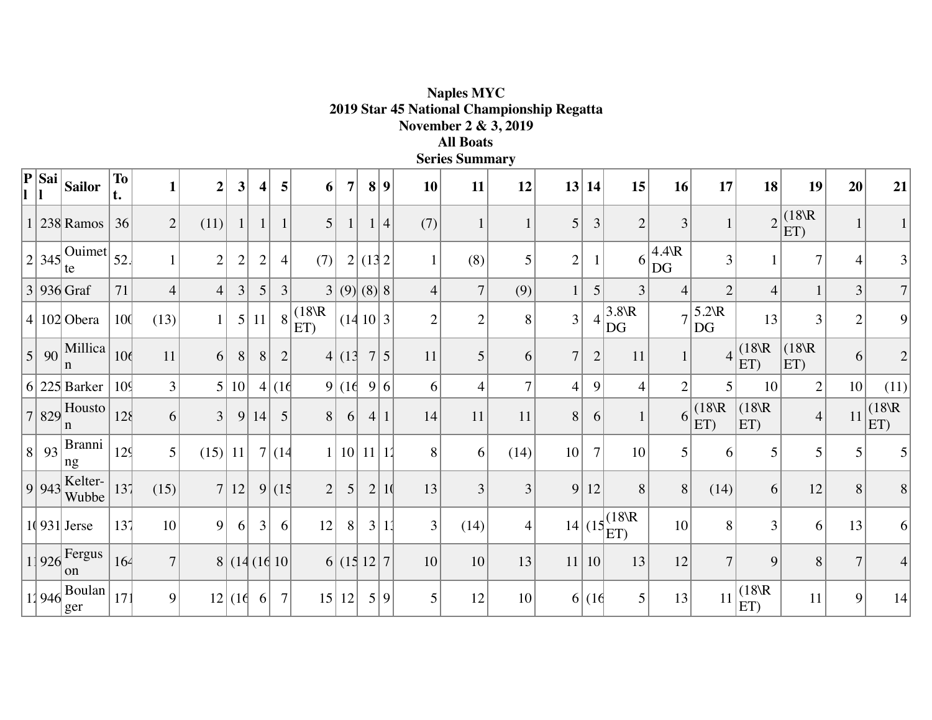| <b>Series Summary</b>           |                                  |                 |                |                |                |                |                 |                 |             |               |      |                |                |                |                  |                |                                       |                       |                      |                 |                |                |                |
|---------------------------------|----------------------------------|-----------------|----------------|----------------|----------------|----------------|-----------------|-----------------|-------------|---------------|------|----------------|----------------|----------------|------------------|----------------|---------------------------------------|-----------------------|----------------------|-----------------|----------------|----------------|----------------|
| ${\bf P} \, {\bf S}$ ai $\, \,$ | Sailor                           | To<br>t.        | $\mathbf{1}$   | $\overline{2}$ | $\mathbf{3}$   | $\vert$        | 5               | 6               | 7           |               | 8 9  | 10             | 11             | 12             |                  | 13 14          | 15                                    | 16                    | 17                   | 18              | 19             | 20             | 21             |
|                                 | $1 238 $ Ramos                   | 36              | $\overline{2}$ | (11)           |                |                | $\mathbf{1}$    | 5 <sup>1</sup>  |             |               | 1 4  | (7)            | $\mathbf{1}$   | $\mathbf{1}$   | 5                | 3              | $\overline{2}$                        | 3                     |                      | $\overline{2}$  | (18)R<br>ET)   |                |                |
|                                 | $2 345 $ Ouimet $52$ .<br>te     |                 | $\mathbf{1}$   | $\sqrt{2}$     | $\overline{2}$ | $\overline{2}$ | $\overline{4}$  | (7)             |             | 2 (13 2)      |      | $\mathbf{1}$   | (8)            | 5              | $\overline{2}$   |                | 6 <sup>1</sup>                        | $4.4\text{R}$<br>$DG$ | 3                    |                 |                | 4              | 3              |
|                                 | $3 936 $ Graf                    | 71              | $\overline{4}$ | $\overline{4}$ | 3              | 5 <sup>1</sup> | $\overline{3}$  | 3               | (9)(8)      |               |      | $\overline{4}$ | $\overline{7}$ | (9)            |                  | 5              | $\overline{3}$                        | 4                     | $\overline{2}$       | $\overline{4}$  |                | 3              | $\overline{7}$ |
|                                 | 4 102 Obera                      | 100             | (13)           | $\mathbf{1}$   | $5\vert$       | 11             | 8               | (18)R<br>$ET$ ) |             | (14   10   3) |      | $\overline{2}$ | $\overline{2}$ | 8              | $\left 3\right $ |                | $3.8$ <sub><math>R</math></sub><br>DG |                       | $5.2 \text{R}$<br>DG | 13 <sub>1</sub> | 3              | $\overline{2}$ | 9              |
|                                 | $5 90$ Millica<br>n              | 10 <sub>0</sub> | 11             | 6              | 8              | 8              | $\overline{2}$  |                 | 4 (13 )     |               | 7 5  | 11             | 5              | 6              | $\tau$           | $\mathbf{2}$   | 11                                    |                       | $\overline{4}$       | (18)R<br>ET)    | (18)R<br>ET)   | 6              | $\overline{2}$ |
|                                 | $6 225 $ Barker                  | 10 <sup>q</sup> | 3              | $\mathfrak{S}$ | $10$           |                | 4 (16)          |                 | 9 (16)      |               | 9 6  | 6              | $\overline{4}$ | $\overline{7}$ | 4                | 9              | $\overline{4}$                        | $\overline{2}$        | 5                    | 10              | $\overline{2}$ | 10             | (11)           |
|                                 | $7 829 $ Housto<br>n             | 128             | 6              | 3              | 9              | 14             | $\vert 5 \vert$ | 8               | 6           |               | 4 1  | 14             | 11             | 11             | 8 <sup>1</sup>   | 6              |                                       |                       | (18)R<br>ET)         | (18)R<br>ET)    | $\overline{4}$ | 11             | (18)R<br>ET)   |
| 8 93                            | Branni<br>ng                     | 12 <sup>4</sup> | 5              | (15)           | 11             |                | 7 (14)          |                 |             | 10 11 11      |      | 8              | 6              | (14)           | 10 <sup>1</sup>  | $\overline{7}$ | 10                                    | $\overline{5}$        | 6                    | 5               | 5              | 5 <sup>1</sup> | 5              |
| 9 943                           | Kelter-<br>Wubbe                 | 137             | (15)           | 7 <sup>1</sup> | 12             |                | 9(15)           | $\overline{2}$  | 5           |               | 2 10 | 13             | 3              | 3              | 9                | 12             | 8                                     | 8                     | (14)                 | 6               | 12             | 8              | 8              |
|                                 | $1(931)$ Jerse                   | 137             | 10             | 9              | 6              | 3 <sup>1</sup> | 6               | 12              | 8           |               | 3 11 | 3              | (14)           | $\overline{4}$ |                  |                | $14   (15   \text{E})$                | 10                    | 8                    | 3               | 6              | 13             | 6              |
|                                 | $1 926 $ Fergus<br><sub>on</sub> | 164             | $\overline{7}$ |                |                |                | 8 (14(16 10     |                 | 6 (15 12 7) |               |      | 10             | 10             | 13             | 11               | 10             | 13                                    | 12                    | $\overline{7}$       | 9               | 8              | $\overline{7}$ | $\overline{4}$ |
| 11946                           | <b>Boulan</b><br>ger             | 17 <sup>2</sup> | 9              |                | 12 (16)        | 6 <sup>1</sup> | $\overline{7}$  |                 | 15 12       |               | 5 9  | $\mathfrak{S}$ | 12             | 10             |                  | 6 (16)         | 5 <sup>1</sup>                        | 13                    | 11                   | (18)R<br>ET)    | 11             | 9              | 14             |

**Naples MYC 2019 Star 45 National Championship Regatta November 2 & 3, 2019 All Boats**